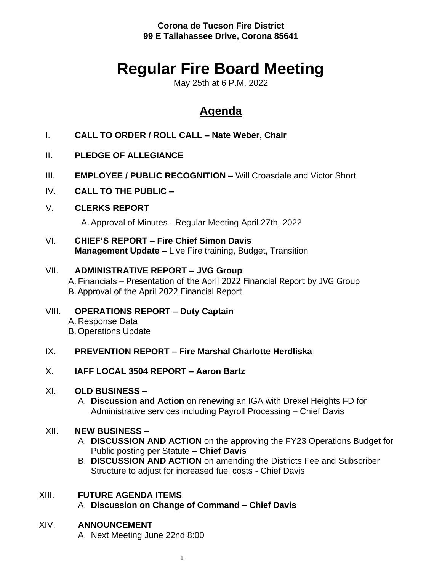**Corona de Tucson Fire District 99 E Tallahassee Drive, Corona 85641**

# **Regular Fire Board Meeting**

May 25th at 6 P.M. 2022

## **Agenda**

- I. **CALL TO ORDER / ROLL CALL – Nate Weber, Chair**
- II. **PLEDGE OF ALLEGIANCE**
- III. **EMPLOYEE / PUBLIC RECOGNITION –** Will Croasdale and Victor Short
- IV. **CALL TO THE PUBLIC –**
- V. **CLERKS REPORT**

A. Approval of Minutes - Regular Meeting April 27th, 2022

VI. **CHIEF'S REPORT – Fire Chief Simon Davis Management Update –** Live Fire training, Budget, Transition

#### VII. **ADMINISTRATIVE REPORT – JVG Group**

A. Financials – Presentation of the April 2022 Financial Report by JVG Group B. Approval of the April 2022 Financial Report

VIII. **OPERATIONS REPORT – Duty Captain** A. Response Data B. Operations Update

#### IX. **PREVENTION REPORT – Fire Marshal Charlotte Herdliska**

X. **IAFF LOCAL 3504 REPORT – Aaron Bartz**

#### XI. **OLD BUSINESS –**

A. **Discussion and Action** on renewing an IGA with Drexel Heights FD for Administrative services including Payroll Processing – Chief Davis

#### XII. **NEW BUSINESS –**

- A. **DISCUSSION AND ACTION** on the approving the FY23 Operations Budget for Public posting per Statute **– Chief Davis**
- B. **DISCUSSION AND ACTION** on amending the Districts Fee and Subscriber Structure to adjust for increased fuel costs - Chief Davis

#### XIII. **FUTURE AGENDA ITEMS**

A. **Discussion on Change of Command – Chief Davis**

#### XIV. **ANNOUNCEMENT**

A. Next Meeting June 22nd 8:00